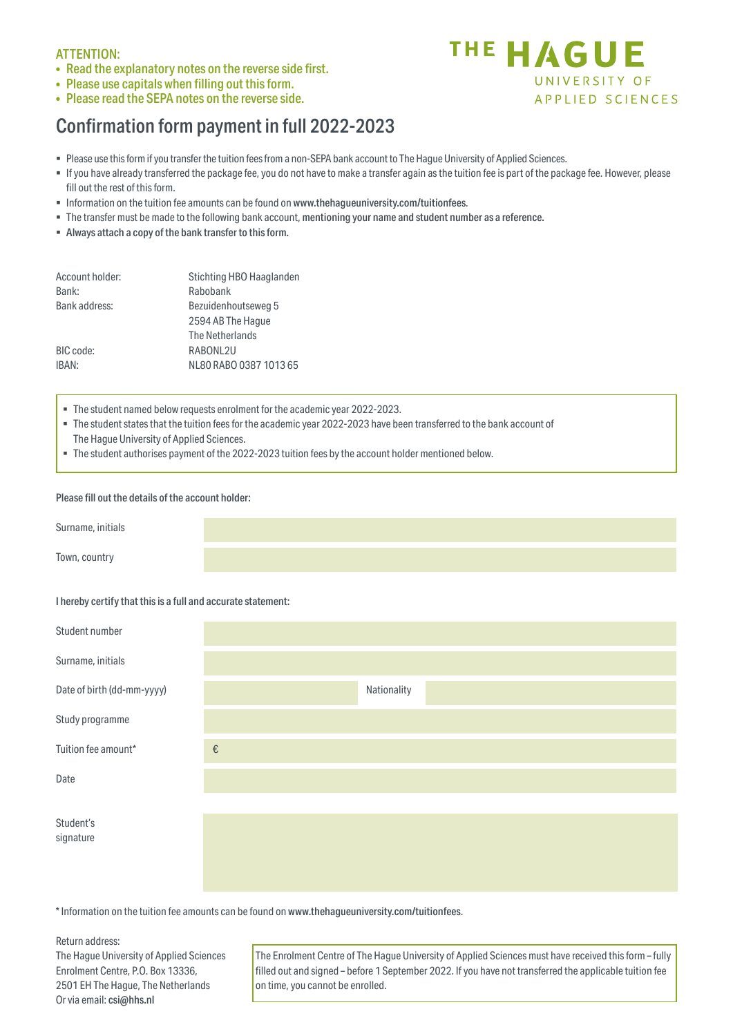## ATTENTION:

- Read the explanatory notes on the reverse side first.
- Please use capitals when filling out this form.
- Please read the SEPA notes on the reverse side.

# Confirmation form payment in full 2022-2023



- If you have already transferred the package fee, you do not have to make a transfer again as the tuition fee is part of the package fee. However, please fill out the rest of this form.
- Information on the tuition fee amounts can be found on www.thehagueuniversity.com/tuitionfees.
- The transfer must be made to the following bank account, mentioning your name and student number as a reference.
- Always attach a copy of the bank transfer to thisform.

| Account holder: | Stichting HBO Haaglanden |
|-----------------|--------------------------|
| Bank:           | Rabobank                 |
| Bank address:   | Bezuidenhoutseweg 5      |
|                 | 2594 AB The Haque        |
|                 | The Netherlands          |
| BIC code:       | RABONL2U                 |
| IBAN:           | NL80 RABO 0387 1013 65   |
|                 |                          |

- The student named below requests enrolment for the academic year 2022-2023.
- The student states that the tuition fees for the academic year 2022-2023 have been transferred to the bank account of The Hague University of Applied Sciences.
- The student authorises payment of the 2022-2023 tuition fees by the account holder mentioned below.

## Please fill out the details of the account holder:

| Surname, initials |  |  |
|-------------------|--|--|
| Town, country     |  |  |

## I hereby certify that thisis a full and accurate statement:

| Student number             |                         |             |
|----------------------------|-------------------------|-------------|
| Surname, initials          |                         |             |
| Date of birth (dd-mm-yyyy) |                         | Nationality |
| Study programme            |                         |             |
| Tuition fee amount*        | $\boldsymbol{\epsilon}$ |             |
| Date                       |                         |             |
|                            |                         |             |
| Student's<br>signature     |                         |             |
|                            |                         |             |

\* Information on the tuition fee amounts can be found on www.thehagueuniversity.com/tuitionfees.

Return address:

The Hague University of Applied Sciences Enrolment Centre, P.O. Box 13336, 2501 EH The Hague, The Netherlands Or via email: csi@hhs.nl

The Enrolment Centre of The Hague University of Applied Sciences must have received this form – fully filled out and signed – before 1 September 2022. If you have not transferred the applicable tuition fee on time, you cannot be enrolled.